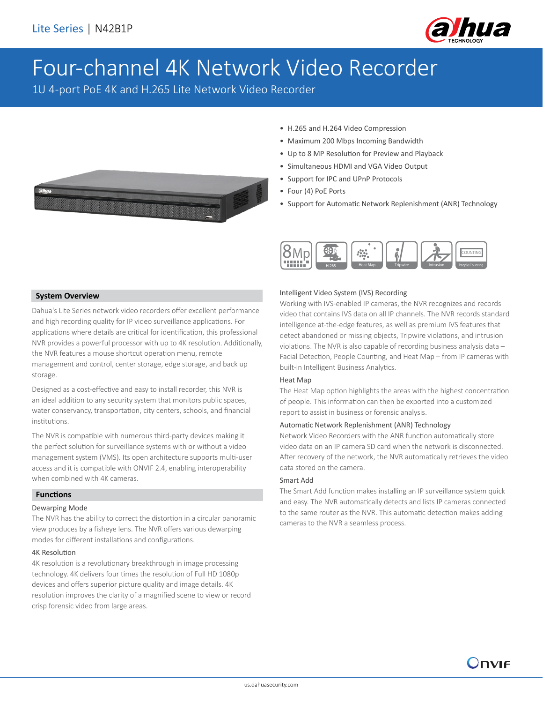

# Four-channel 4K Network Video Recorder

1U 4-port PoE 4K and H.265 Lite Network Video Recorder



- H.265 and H.264 Video Compression
- Maximum 200 Mbps Incoming Bandwidth
- Up to 8 MP Resolution for Preview and Playback
- Simultaneous HDMI and VGA Video Output
- Support for IPC and UPnP Protocols
- Four (4) PoE Ports
- Support for Automatic Network Replenishment (ANR) Technology



### **System Overview**

Dahua's Lite Series network video recorders offer excellent performance and high recording quality for IP video surveillance applications. For applications where details are critical for identification, this professional NVR provides a powerful processor with up to 4K resolution. Additionally, the NVR features a mouse shortcut operation menu, remote management and control, center storage, edge storage, and back up storage.

Designed as a cost-effective and easy to install recorder, this NVR is an ideal addition to any security system that monitors public spaces, water conservancy, transportation, city centers, schools, and financial institutions.

The NVR is compatible with numerous third-party devices making it the perfect solution for surveillance systems with or without a video management system (VMS). Its open architecture supports multi-user access and it is compatible with ONVIF 2.4, enabling interoperability when combined with 4K cameras.

#### **Functions**

#### Dewarping Mode

The NVR has the ability to correct the distortion in a circular panoramic view produces by a fisheye lens. The NVR offers various dewarping modes for different installations and configurations.

#### 4K Resolution

4K resolution is a revolutionary breakthrough in image processing technology. 4K delivers four times the resolution of Full HD 1080p devices and offers superior picture quality and image details. 4K resolution improves the clarity of a magnified scene to view or record crisp forensic video from large areas.

### Intelligent Video System (IVS) Recording

Working with IVS-enabled IP cameras, the NVR recognizes and records video that contains IVS data on all IP channels. The NVR records standard intelligence at-the-edge features, as well as premium IVS features that detect abandoned or missing objects, Tripwire violations, and intrusion violations. The NVR is also capable of recording business analysis data – Facial Detection, People Counting, and Heat Map – from IP cameras with built-in Intelligent Business Analytics.

### Heat Map

The Heat Map option highlights the areas with the highest concentration of people. This information can then be exported into a customized report to assist in business or forensic analysis.

### Automatic Network Replenishment (ANR) Technology

Network Video Recorders with the ANR function automatically store video data on an IP camera SD card when the network is disconnected. After recovery of the network, the NVR automatically retrieves the video data stored on the camera.

#### Smart Add

The Smart Add function makes installing an IP surveillance system quick and easy. The NVR automatically detects and lists IP cameras connected to the same router as the NVR. This automatic detection makes adding cameras to the NVR a seamless process.

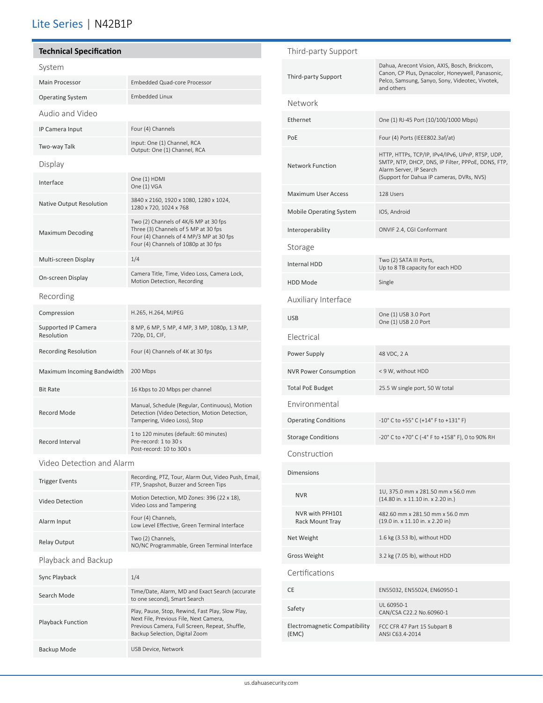# Lite Series | N42B1P

### **Technical Specification**

### System

| <b>JYSLEIII</b>                          |                                                                                                                                                                   |  |  |
|------------------------------------------|-------------------------------------------------------------------------------------------------------------------------------------------------------------------|--|--|
| Main Processor                           | Embedded Quad-core Processor                                                                                                                                      |  |  |
| <b>Operating System</b>                  | <b>Embedded Linux</b>                                                                                                                                             |  |  |
| Audio and Video                          |                                                                                                                                                                   |  |  |
| IP Camera Input                          | Four (4) Channels                                                                                                                                                 |  |  |
| Two-way Talk                             | Input: One (1) Channel, RCA<br>Output: One (1) Channel, RCA                                                                                                       |  |  |
| Display                                  |                                                                                                                                                                   |  |  |
| Interface                                | One (1) HDMI<br>One (1) VGA                                                                                                                                       |  |  |
| Native Output Resolution                 | 3840 x 2160, 1920 x 1080, 1280 x 1024,<br>1280 x 720, 1024 x 768                                                                                                  |  |  |
| <b>Maximum Decoding</b>                  | Two (2) Channels of 4K/6 MP at 30 fps<br>Three (3) Channels of 5 MP at 30 fps<br>Four (4) Channels of 4 MP/3 MP at 30 fps<br>Four (4) Channels of 1080p at 30 fps |  |  |
| Multi-screen Display                     | 1/4                                                                                                                                                               |  |  |
| On-screen Display                        | Camera Title, Time, Video Loss, Camera Lock,<br>Motion Detection, Recording                                                                                       |  |  |
| Recording                                |                                                                                                                                                                   |  |  |
| Compression                              | H.265, H.264, MJPEG                                                                                                                                               |  |  |
| <b>Supported IP Camera</b><br>Resolution | 8 MP, 6 MP, 5 MP, 4 MP, 3 MP, 1080p, 1.3 MP,<br>720p, D1, CIF,                                                                                                    |  |  |
| <b>Recording Resolution</b>              | Four (4) Channels of 4K at 30 fps                                                                                                                                 |  |  |
| Maximum Incoming Bandwidth               | 200 Mbps                                                                                                                                                          |  |  |
| <b>Bit Rate</b>                          | 16 Kbps to 20 Mbps per channel                                                                                                                                    |  |  |
| Record Mode                              | Manual, Schedule (Regular, Continuous), Motion<br>Detection (Video Detection, Motion Detection,<br>Tampering, Video Loss), Stop                                   |  |  |
| Record Interval                          | 1 to 120 minutes (default: 60 minutes)<br>Pre-record: 1 to 30 s<br>Post-record: 10 to 300 s                                                                       |  |  |
| Video Detection and Alarm                |                                                                                                                                                                   |  |  |
| <b>Trigger Events</b>                    | Recording, PTZ, Tour, Alarm Out, Video Push, Email,<br>FTP, Snapshot, Buzzer and Screen Tips                                                                      |  |  |
| Video Detection                          | Motion Detection, MD Zones: 396 (22 x 18),<br>Video Loss and Tampering                                                                                            |  |  |

# Alarm Input Four (4) Channels, Low Level Effective, Green Terminal Interface Relay Output Two (2) Channels, NO/NC Programmable, Green Terminal Interface Playback and Backup Sync Playback 1/4

| Search Mode              | Time/Date, Alarm, MD and Exact Search (accurate<br>to one second), Smart Search                                                                                                |
|--------------------------|--------------------------------------------------------------------------------------------------------------------------------------------------------------------------------|
| <b>Playback Function</b> | Play, Pause, Stop, Rewind, Fast Play, Slow Play,<br>Next File, Previous File, Next Camera.<br>Previous Camera, Full Screen, Repeat, Shuffle,<br>Backup Selection, Digital Zoom |
| Backup Mode              | USB Device, Network                                                                                                                                                            |

# Third-party Support Third-party Support Dahua, Arecont Vision, AXIS, Bosch, Brickcom, Canon, CP Plus, Dynacolor, Honeywell, Panasonic, Pelco, Samsung, Sanyo, Sony, Videotec, Vivotek, and others Network Ethernet One (1) RJ-45 Port (10/100/1000 Mbps) PoE Four (4) Ports (IEEE802.3af/at) Network Function HTTP, HTTPs, TCP/IP, IPv4/IPv6, UPnP, RTSP, UDP, SMTP, NTP, DHCP, DNS, IP Filter, PPPoE, DDNS, FTP, Alarm Server, IP Search (Support for Dahua IP cameras, DVRs, NVS) Maximum User Access 128 Users Mobile Operating System IOS, Android Interoperability ONVIF 2.4, CGI Conformant Storage Internal HDD Two (2) SATA III Ports, Up to 8 TB capacity for each HDD HDD Mode Single Auxiliary Interface USB One (1) USB 3.0 Port One (1) USB 2.0 Port Electrical Power Supply 48 VDC, 2 A NVR Power Consumption < 9 W, without HDD Total PoE Budget 25.5 W single port, 50 W total Environmental Operating Conditions  $-10^{\circ}$  C to +55° C (+14° F to +131° F) Storage Conditions -20° C to +70° C (-4° F to +158° F), 0 to 90% RH Construction Dimensions NVR 1U, 375.0 mm x 281.50 mm x 56.0 mm (14.80 in. x 11.10 in. x 2.20 in.) NVR with PFH101 Rack Mount Tray 482.60 mm x 281.50 mm x 56.0 mm (19.0 in. x 11.10 in. x 2.20 in) Net Weight 1.6 kg (3.53 lb), without HDD Gross Weight 3.2 kg (7.05 lb), without HDD Certifications CE EN55032, EN55024, EN60950-1 Safety UL 60950-1

CAN/CSA C22.2 No.60960-1

FCC CFR 47 Part 15 Subpart B ANSI C63.4-2014

(EMC)

Electromagnetic Compatibility